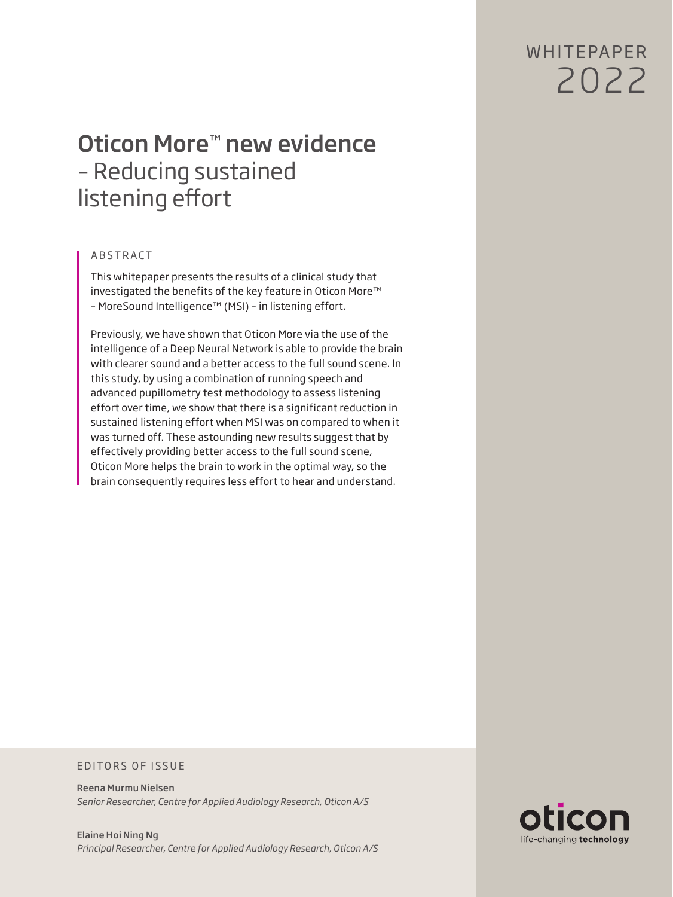W HITFPAPFR 2022

# Oticon More™ new evidence – Reducing sustained listening effort

# ABSTRACT

This whitepaper presents the results of a clinical study that investigated the benefits of the key feature in Oticon More™ – MoreSound Intelligence™ (MSI) – in listening effort.

Previously, we have shown that Oticon More via the use of the intelligence of a Deep Neural Network is able to provide the brain with clearer sound and a better access to the full sound scene. In this study, by using a combination of running speech and advanced pupillometry test methodology to assess listening effort over time, we show that there is a significant reduction in sustained listening effort when MSI was on compared to when it was turned off. These astounding new results suggest that by effectively providing better access to the full sound scene, Oticon More helps the brain to work in the optimal way, so the brain consequently requires less effort to hear and understand.

### EDITORS OF ISSUE

Reena Murmu Nielsen *Senior Researcher, Centre for Applied Audiology Research, Oticon A/S*

Elaine Hoi Ning Ng *Principal Researcher, Centre for Applied Audiology Research, Oticon A/S*

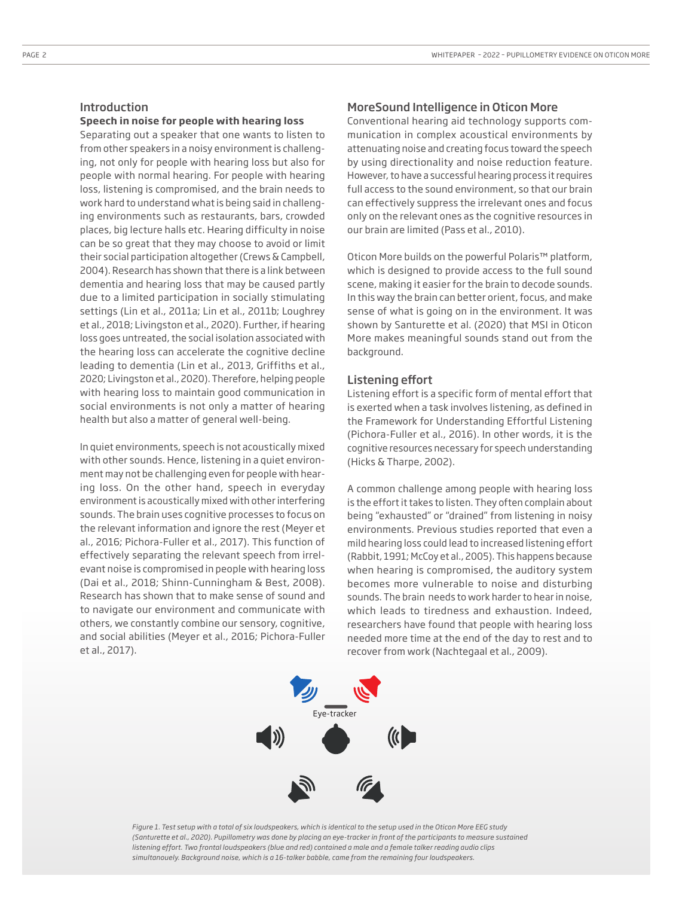### **Speech in noise for people with hearing loss**

Separating out a speaker that one wants to listen to from other speakers in a noisy environment is challenging, not only for people with hearing loss but also for people with normal hearing. For people with hearing loss, listening is compromised, and the brain needs to work hard to understand what is being said in challenging environments such as restaurants, bars, crowded places, big lecture halls etc. Hearing difficulty in noise can be so great that they may choose to avoid or limit their social participation altogether (Crews & Campbell, 2004). Research has shown that there is a link between dementia and hearing loss that may be caused partly due to a limited participation in socially stimulating settings (Lin et al., 2011a; Lin et al., 2011b; Loughrey et al., 2018; Livingston et al., 2020). Further, if hearing loss goes untreated, the social isolation associated with the hearing loss can accelerate the cognitive decline leading to dementia (Lin et al., 2013, Griffiths et al., 2020; Livingston et al., 2020). Therefore, helping people with hearing loss to maintain good communication in social environments is not only a matter of hearing health but also a matter of general well-being.

In quiet environments, speech is not acoustically mixed with other sounds. Hence, listening in a quiet environment may not be challenging even for people with hearing loss. On the other hand, speech in everyday environment is acoustically mixed with other interfering sounds. The brain uses cognitive processes to focus on the relevant information and ignore the rest (Meyer et al., 2016; Pichora-Fuller et al., 2017). This function of effectively separating the relevant speech from irrelevant noise is compromised in people with hearing loss (Dai et al., 2018; Shinn-Cunningham & Best, 2008). Research has shown that to make sense of sound and to navigate our environment and communicate with others, we constantly combine our sensory, cognitive, and social abilities (Meyer et al., 2016; Pichora-Fuller et al., 2017).

## MoreSound Intelligence in Oticon More

Conventional hearing aid technology supports communication in complex acoustical environments by attenuating noise and creating focus toward the speech by using directionality and noise reduction feature. However, to have a successful hearing process it requires full access to the sound environment, so that our brain can effectively suppress the irrelevant ones and focus only on the relevant ones as the cognitive resources in our brain are limited (Pass et al., 2010).

Oticon More builds on the powerful Polaris™ platform, which is designed to provide access to the full sound scene, making it easier for the brain to decode sounds. In this way the brain can better orient, focus, and make sense of what is going on in the environment. It was shown by Santurette et al. (2020) that MSI in Oticon More makes meaningful sounds stand out from the background.

### Listening effort

Listening effort is a specific form of mental effort that is exerted when a task involves listening, as defined in the Framework for Understanding Effortful Listening (Pichora-Fuller et al., 2016). In other words, it is the cognitive resources necessary for speech understanding (Hicks & Tharpe, 2002).

A common challenge among people with hearing loss is the effort it takes to listen. They often complain about being "exhausted" or "drained" from listening in noisy environments. Previous studies reported that even a mild hearing loss could lead to increased listening effort (Rabbit, 1991; McCoy et al., 2005). This happens because when hearing is compromised, the auditory system becomes more vulnerable to noise and disturbing sounds. The brain needs to work harder to hear in noise, which leads to tiredness and exhaustion. Indeed, researchers have found that people with hearing loss needed more time at the end of the day to rest and to recover from work (Nachtegaal et al., 2009).



*Figure 1. Test setup with a total of six loudspeakers, which is identical to the setup used in the Oticon More EEG study (Santurette et al., 2020). Pupillometry was done by placing an eye-tracker in front of the participants to measure sustained listening effort. Two frontal loudspeakers (blue and red) contained a male and a female talker reading audio clips simultanouely. Background noise, which is a 16-talker babble, came from the remaining four loudspeakers.*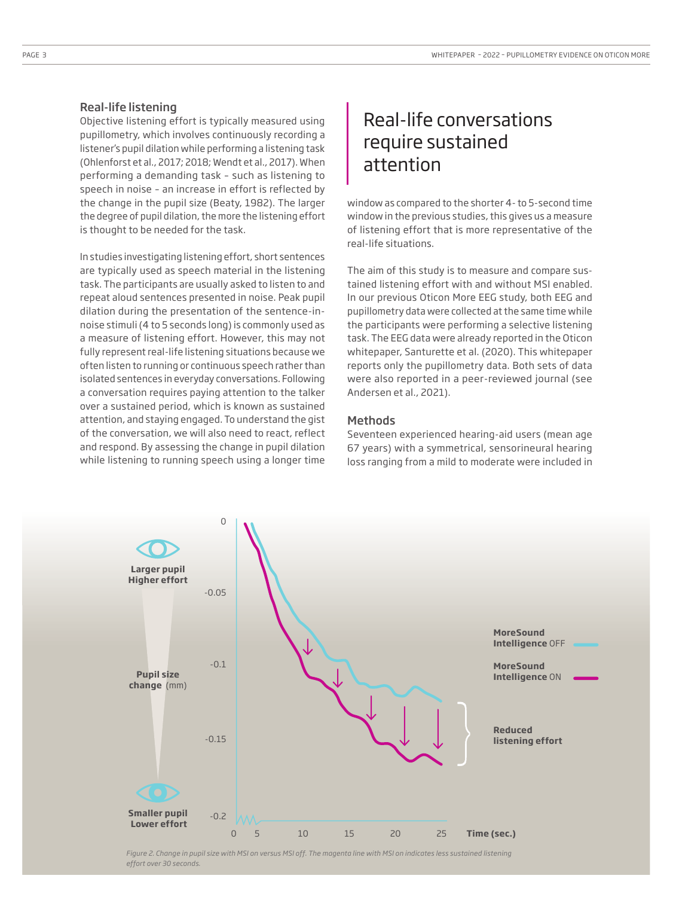### Real-life listening

Objective listening effort is typically measured using pupillometry, which involves continuously recording a listener's pupil dilation while performing a listening task (Ohlenforst et al., 2017; 2018; Wendt et al., 2017). When performing a demanding task – such as listening to speech in noise – an increase in effort is reflected by the change in the pupil size (Beaty, 1982). The larger the degree of pupil dilation, the more the listening effort is thought to be needed for the task.

In studies investigating listening effort, short sentences are typically used as speech material in the listening task. The participants are usually asked to listen to and repeat aloud sentences presented in noise. Peak pupil dilation during the presentation of the sentence-innoise stimuli (4 to 5 seconds long) is commonly used as a measure of listening effort. However, this may not fully represent real-life listening situations because we often listen to running or continuous speech rather than isolated sentences in everyday conversations. Following a conversation requires paying attention to the talker over a sustained period, which is known as sustained attention, and staying engaged. To understand the gist of the conversation, we will also need to react, reflect and respond. By assessing the change in pupil dilation while listening to running speech using a longer time

# Real-life conversations require sustained attention

window as compared to the shorter 4- to 5-second time window in the previous studies, this gives us a measure of listening effort that is more representative of the real-life situations.

The aim of this study is to measure and compare sustained listening effort with and without MSI enabled. In our previous Oticon More EEG study, both EEG and pupillometry data were collected at the same time while the participants were performing a selective listening task. The EEG data were already reported in the Oticon whitepaper, Santurette et al. (2020). This whitepaper reports only the pupillometry data. Both sets of data were also reported in a peer-reviewed journal (see Andersen et al., 2021).

### Methods

Seventeen experienced hearing-aid users (mean age 67 years) with a symmetrical, sensorineural hearing loss ranging from a mild to moderate were included in



*Figure 2. Change in pupil size with MSI on versus MSI off. The magenta line with MSI on indicates less sustained listening effort over 30 seconds.*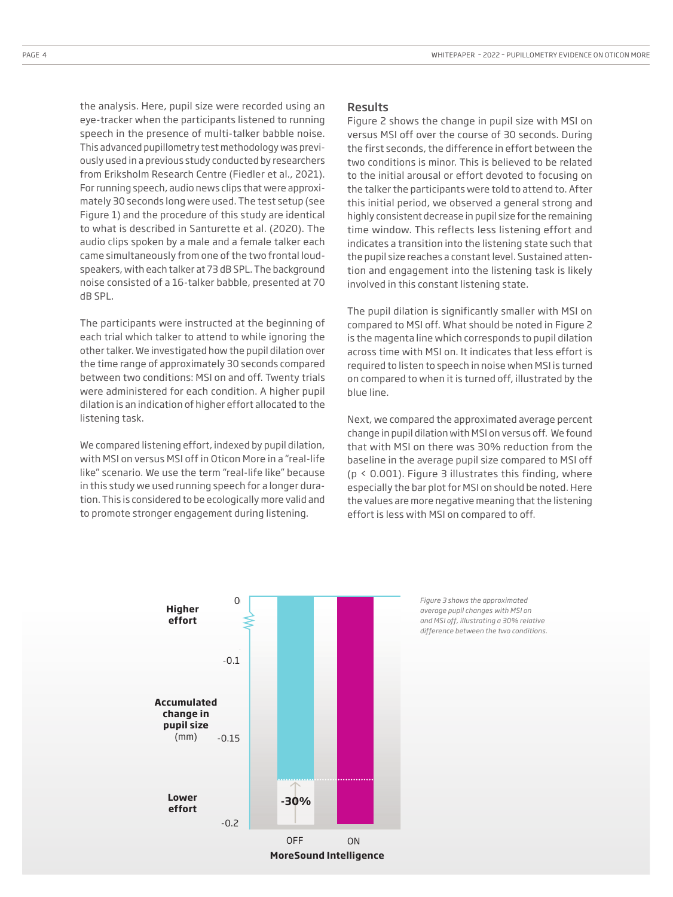the analysis. Here, pupil size were recorded using an eye-tracker when the participants listened to running speech in the presence of multi-talker babble noise. This advanced pupillometry test methodology was previously used in a previous study conducted by researchers from Eriksholm Research Centre (Fiedler et al., 2021). For running speech, audio news clips that were approximately 30 seconds long were used. The test setup (see Figure 1) and the procedure of this study are identical to what is described in Santurette et al. (2020). The audio clips spoken by a male and a female talker each came simultaneously from one of the two frontal loudspeakers, with each talker at 73 dB SPL. The background noise consisted of a 16-talker babble, presented at 70 dB SPL.

The participants were instructed at the beginning of each trial which talker to attend to while ignoring the other talker. We investigated how the pupil dilation over the time range of approximately 30 seconds compared between two conditions: MSI on and off. Twenty trials were administered for each condition. A higher pupil dilation is an indication of higher effort allocated to the listening task.

We compared listening effort, indexed by pupil dilation, with MSI on versus MSI off in Oticon More in a "real-life like" scenario. We use the term "real-life like" because in this study we used running speech for a longer duration. This is considered to be ecologically more valid and to promote stronger engagement during listening.

### Results

Figure 2 shows the change in pupil size with MSI on versus MSI off over the course of 30 seconds. During the first seconds, the difference in effort between the two conditions is minor. This is believed to be related to the initial arousal or effort devoted to focusing on the talker the participants were told to attend to. After this initial period, we observed a general strong and highly consistent decrease in pupil size for the remaining time window. This reflects less listening effort and indicates a transition into the listening state such that the pupil size reaches a constant level. Sustained attention and engagement into the listening task is likely involved in this constant listening state.

The pupil dilation is significantly smaller with MSI on compared to MSI off. What should be noted in Figure 2 is the magenta line which corresponds to pupil dilation across time with MSI on. It indicates that less effort is required to listen to speech in noise when MSI is turned on compared to when it is turned off, illustrated by the blue line.

Next, we compared the approximated average percent change in pupil dilation with MSI on versus off. We found that with MSI on there was 30% reduction from the baseline in the average pupil size compared to MSI off ( $p \le 0.001$ ). Figure 3 illustrates this finding, where especially the bar plot for MSI on should be noted. Here the values are more negative meaning that the listening effort is less with MSI on compared to off.



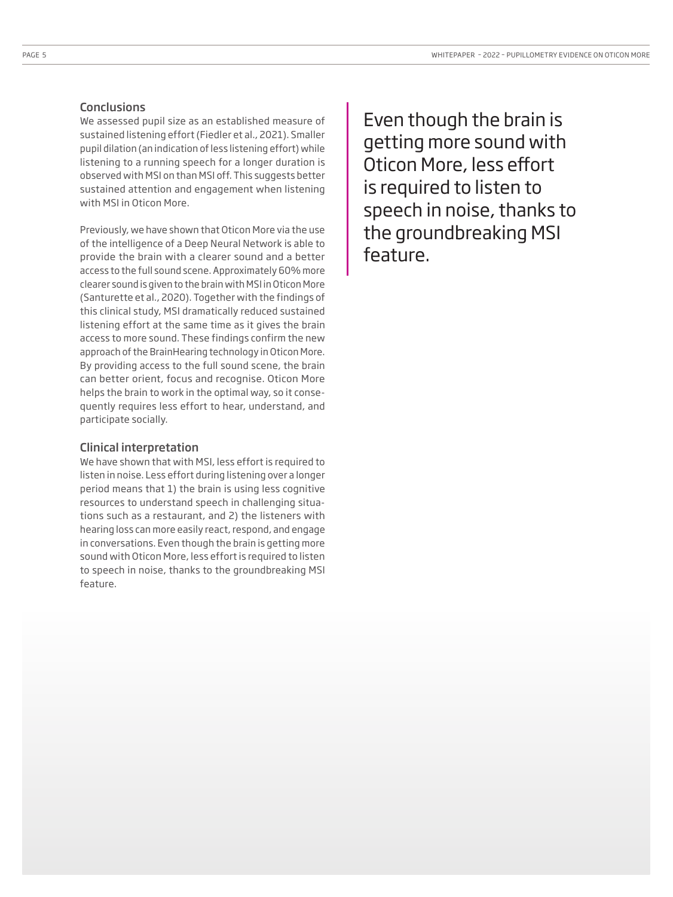### **Conclusions**

We assessed pupil size as an established measure of sustained listening effort (Fiedler et al., 2021). Smaller pupil dilation (an indication of less listening effort) while listening to a running speech for a longer duration is observed with MSI on than MSI off. This suggests better sustained attention and engagement when listening with MSI in Oticon More.

Previously, we have shown that Oticon More via the use of the intelligence of a Deep Neural Network is able to provide the brain with a clearer sound and a better access to the full sound scene. Approximately 60% more clearer sound is given to the brain with MSI in Oticon More (Santurette et al., 2020). Together with the findings of this clinical study, MSI dramatically reduced sustained listening effort at the same time as it gives the brain access to more sound. These findings confirm the new approach of the BrainHearing technology in Oticon More. By providing access to the full sound scene, the brain can better orient, focus and recognise. Oticon More helps the brain to work in the optimal way, so it consequently requires less effort to hear, understand, and participate socially.

### Clinical interpretation

We have shown that with MSI, less effort is required to listen in noise. Less effort during listening over a longer period means that 1) the brain is using less cognitive resources to understand speech in challenging situations such as a restaurant, and 2) the listeners with hearing loss can more easily react, respond, and engage in conversations. Even though the brain is getting more sound with Oticon More, less effort is required to listen to speech in noise, thanks to the groundbreaking MSI feature.

Even though the brain is getting more sound with Oticon More, less effort is required to listen to speech in noise, thanks to the groundbreaking MSI feature.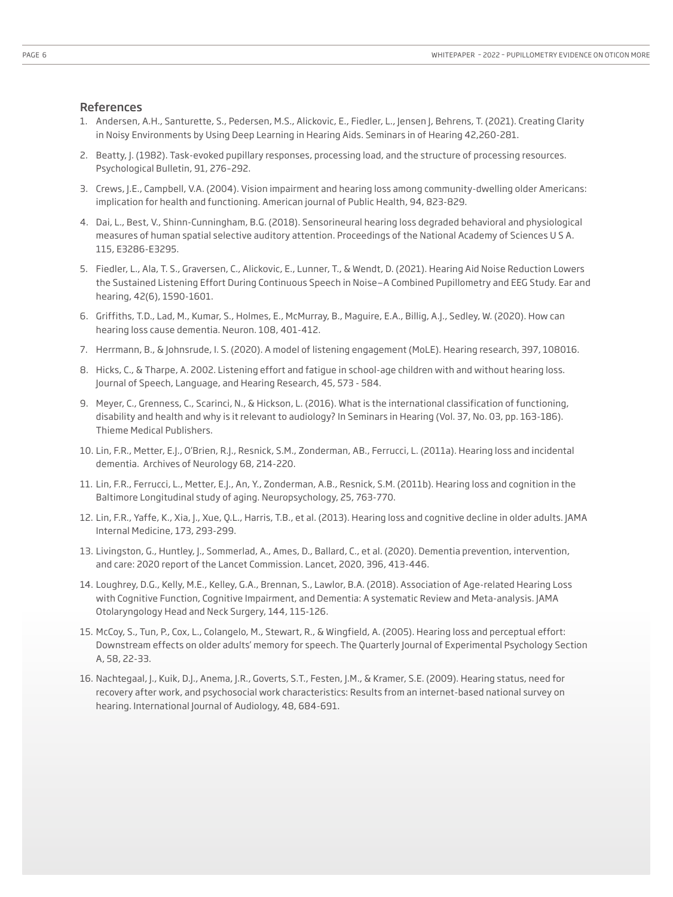#### References

- 1. Andersen, A.H., Santurette, S., Pedersen, M.S., Alickovic, E., Fiedler, L., Jensen J, Behrens, T. (2021). Creating Clarity in Noisy Environments by Using Deep Learning in Hearing Aids. Seminars in of Hearing 42,260-281.
- 2. Beatty, J. (1982). Task-evoked pupillary responses, processing load, and the structure of processing resources. Psychological Bulletin, 91, 276–292.
- 3. Crews, J.E., Campbell, V.A. (2004). Vision impairment and hearing loss among community-dwelling older Americans: implication for health and functioning. American journal of Public Health, 94, 823-829.
- 4. Dai, L., Best, V., Shinn-Cunningham, B.G. (2018). Sensorineural hearing loss degraded behavioral and physiological measures of human spatial selective auditory attention. Proceedings of the National Academy of Sciences U S A. 115, E3286-E3295.
- 5. Fiedler, L., Ala, T. S., Graversen, C., Alickovic, E., Lunner, T., & Wendt, D. (2021). Hearing Aid Noise Reduction Lowers the Sustained Listening Effort During Continuous Speech in Noise—A Combined Pupillometry and EEG Study. Ear and hearing, 42(6), 1590-1601.
- 6. Griffiths, T.D., Lad, M., Kumar, S., Holmes, E., McMurray, B., Maguire, E.A., Billig, A.J., Sedley, W. (2020). How can hearing loss cause dementia. Neuron. 108, 401-412.
- 7. Herrmann, B., & Johnsrude, I. S. (2020). A model of listening engagement (MoLE). Hearing research, 397, 108016.
- 8. Hicks, C., & Tharpe, A. 2002. Listening effort and fatigue in school-age children with and without hearing loss. Journal of Speech, Language, and Hearing Research, 45, 573 - 584.
- 9. Meyer, C., Grenness, C., Scarinci, N., & Hickson, L. (2016). What is the international classification of functioning, disability and health and why is it relevant to audiology? In Seminars in Hearing (Vol. 37, No. 03, pp. 163-186). Thieme Medical Publishers.
- 10. Lin, F.R., Metter, E.J., O'Brien, R.J., Resnick, S.M., Zonderman, AB., Ferrucci, L. (2011a). Hearing loss and incidental dementia. Archives of Neurology 68, 214-220.
- 11. Lin, F.R., Ferrucci, L., Metter, E.J., An, Y., Zonderman, A.B., Resnick, S.M. (2011b). Hearing loss and cognition in the Baltimore Longitudinal study of aging. Neuropsychology, 25, 763-770.
- 12. Lin, F.R., Yaffe, K., Xia, J., Xue, Q.L., Harris, T.B., et al. (2013). Hearing loss and cognitive decline in older adults. JAMA Internal Medicine, 173, 293-299.
- 13. Livingston, G., Huntley, J., Sommerlad, A., Ames, D., Ballard, C., et al. (2020). Dementia prevention, intervention, and care: 2020 report of the Lancet Commission. Lancet, 2020, 396, 413-446.
- 14. Loughrey, D.G., Kelly, M.E., Kelley, G.A., Brennan, S., Lawlor, B.A. (2018). Association of Age-related Hearing Loss with Cognitive Function, Cognitive Impairment, and Dementia: A systematic Review and Meta-analysis. JAMA Otolaryngology Head and Neck Surgery, 144, 115-126.
- 15. McCoy, S., Tun, P., Cox, L., Colangelo, M., Stewart, R., & Wingfield, A. (2005). Hearing loss and perceptual effort: Downstream effects on older adults' memory for speech. The Quarterly Journal of Experimental Psychology Section A, 58, 22-33.
- 16. Nachtegaal, J., Kuik, D.J., Anema, J.R., Goverts, S.T., Festen, J.M., & Kramer, S.E. (2009). Hearing status, need for recovery after work, and psychosocial work characteristics: Results from an internet-based national survey on hearing. International Journal of Audiology, 48, 684-691.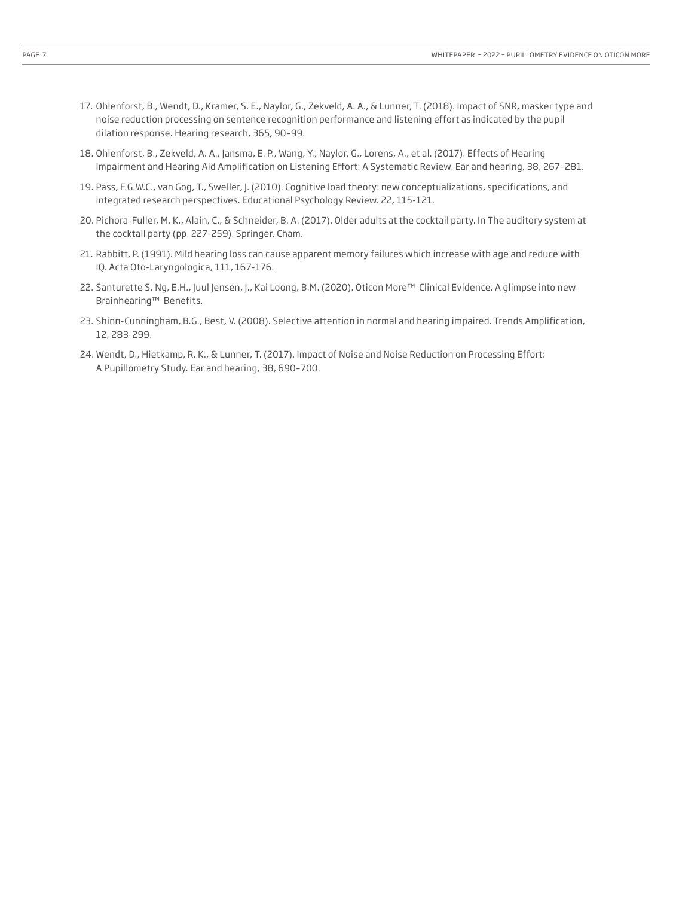- 17. Ohlenforst, B., Wendt, D., Kramer, S. E., Naylor, G., Zekveld, A. A., & Lunner, T. (2018). Impact of SNR, masker type and noise reduction processing on sentence recognition performance and listening effort as indicated by the pupil dilation response. Hearing research, 365, 90–99.
- 18. Ohlenforst, B., Zekveld, A. A., Jansma, E. P., Wang, Y., Naylor, G., Lorens, A., et al. (2017). Effects of Hearing Impairment and Hearing Aid Amplification on Listening Effort: A Systematic Review. Ear and hearing, 38, 267–281.
- 19. Pass, F.G.W.C., van Gog, T., Sweller, J. (2010). Cognitive load theory: new conceptualizations, specifications, and integrated research perspectives. Educational Psychology Review. 22, 115-121.
- 20. Pichora-Fuller, M. K., Alain, C., & Schneider, B. A. (2017). Older adults at the cocktail party. In The auditory system at the cocktail party (pp. 227-259). Springer, Cham.
- 21. Rabbitt, P. (1991). Mild hearing loss can cause apparent memory failures which increase with age and reduce with IQ. Acta Oto-Laryngologica, 111, 167-176.
- 22. Santurette S, Ng, E.H., Juul Jensen, J., Kai Loong, B.M. (2020). Oticon More™ Clinical Evidence. A glimpse into new Brainhearing™ Benefits.
- 23. Shinn-Cunningham, B.G., Best, V. (2008). Selective attention in normal and hearing impaired. Trends Amplification, 12, 283-299.
- 24. Wendt, D., Hietkamp, R. K., & Lunner, T. (2017). Impact of Noise and Noise Reduction on Processing Effort: A Pupillometry Study. Ear and hearing, 38, 690–700.